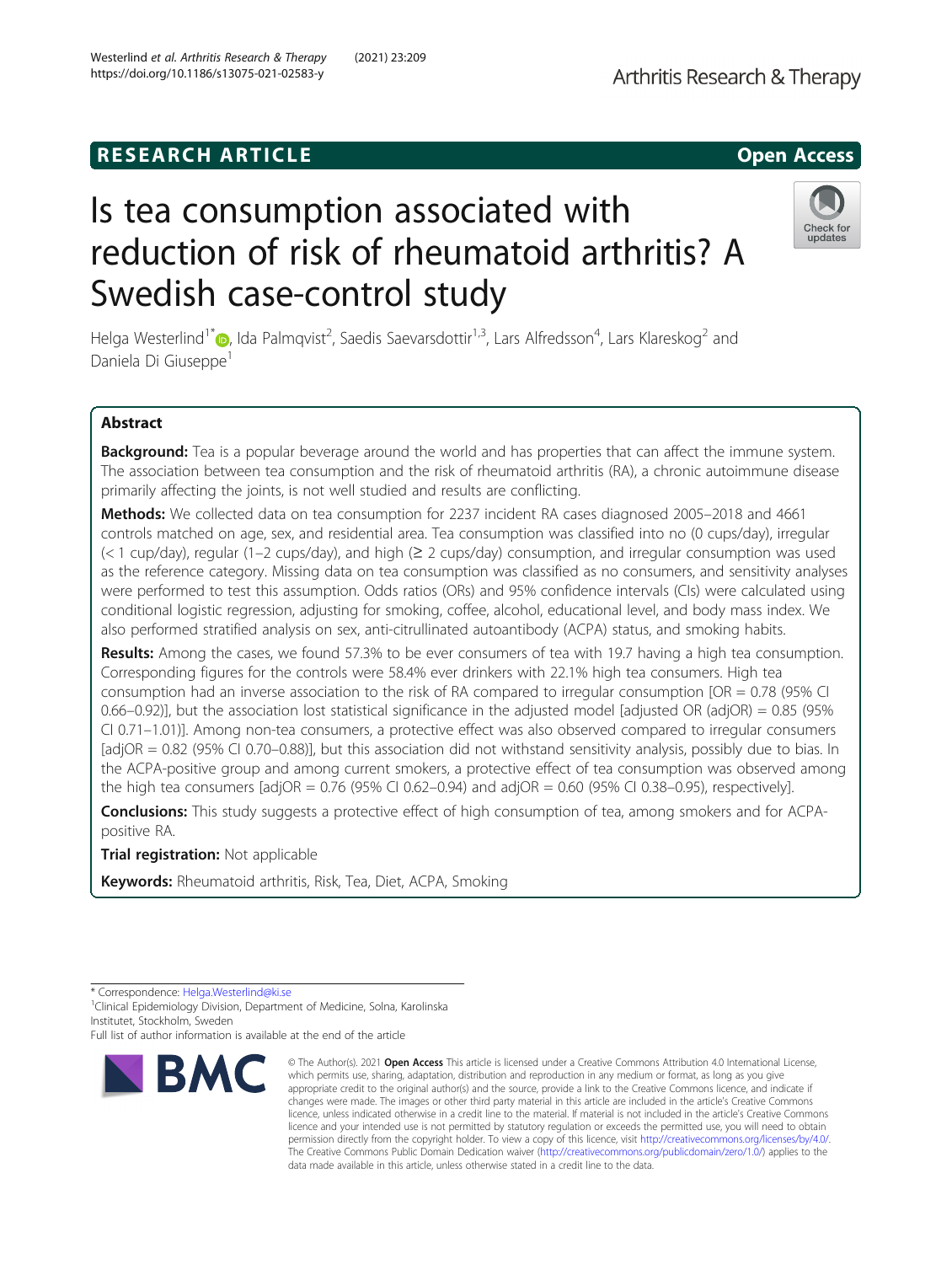# **RESEARCH ARTICLE Example 2014 12:30 The SEAR CH ACCESS**

# Is tea consumption associated with reduction of risk of rheumatoid arthritis? A Swedish case-control study

Helga Westerlind<sup>1\*</sup>@[,](http://orcid.org/0000-0003-3380-5342) Ida Palmqvist<sup>2</sup>, Saedis Saevarsdottir<sup>1,3</sup>, Lars Alfredsson<sup>4</sup>, Lars Klareskog<sup>2</sup> and Daniela Di Giuseppe<sup>1</sup>

# Abstract

Background: Tea is a popular beverage around the world and has properties that can affect the immune system. The association between tea consumption and the risk of rheumatoid arthritis (RA), a chronic autoimmune disease primarily affecting the joints, is not well studied and results are conflicting.

Methods: We collected data on tea consumption for 2237 incident RA cases diagnosed 2005–2018 and 4661 controls matched on age, sex, and residential area. Tea consumption was classified into no (0 cups/day), irregular (< 1 cup/day), regular (1–2 cups/day), and high (≥ 2 cups/day) consumption, and irregular consumption was used as the reference category. Missing data on tea consumption was classified as no consumers, and sensitivity analyses were performed to test this assumption. Odds ratios (ORs) and 95% confidence intervals (CIs) were calculated using conditional logistic regression, adjusting for smoking, coffee, alcohol, educational level, and body mass index. We also performed stratified analysis on sex, anti-citrullinated autoantibody (ACPA) status, and smoking habits.

Results: Among the cases, we found 57.3% to be ever consumers of tea with 19.7 having a high tea consumption. Corresponding figures for the controls were 58.4% ever drinkers with 22.1% high tea consumers. High tea consumption had an inverse association to the risk of RA compared to irregular consumption [OR = 0.78 (95% CI 0.66–0.92)], but the association lost statistical significance in the adjusted model [adjusted OR (adjOR) = 0.85 (95% CI 0.71–1.01)]. Among non-tea consumers, a protective effect was also observed compared to irregular consumers [adjOR = 0.82 (95% CI 0.70–0.88)], but this association did not withstand sensitivity analysis, possibly due to bias. In the ACPA-positive group and among current smokers, a protective effect of tea consumption was observed among the high tea consumers [adjOR =  $0.76$  (95% CI 0.62–0.94) and adjOR = 0.60 (95% CI 0.38–0.95), respectively].

**Conclusions:** This study suggests a protective effect of high consumption of tea, among smokers and for ACPApositive RA.

data made available in this article, unless otherwise stated in a credit line to the data.

Trial registration: Not applicable

Keywords: Rheumatoid arthritis, Risk, Tea, Diet, ACPA, Smoking

<sup>1</sup> Clinical Epidemiology Division, Department of Medicine, Solna, Karolinska Institutet, Stockholm, Sweden



<sup>©</sup> The Author(s), 2021 **Open Access** This article is licensed under a Creative Commons Attribution 4.0 International License, which permits use, sharing, adaptation, distribution and reproduction in any medium or format, as long as you give appropriate credit to the original author(s) and the source, provide a link to the Creative Commons licence, and indicate if

changes were made. The images or other third party material in this article are included in the article's Creative Commons licence, unless indicated otherwise in a credit line to the material. If material is not included in the article's Creative Commons licence and your intended use is not permitted by statutory regulation or exceeds the permitted use, you will need to obtain permission directly from the copyright holder. To view a copy of this licence, visit [http://creativecommons.org/licenses/by/4.0/.](http://creativecommons.org/licenses/by/4.0/) The Creative Commons Public Domain Dedication waiver [\(http://creativecommons.org/publicdomain/zero/1.0/](http://creativecommons.org/publicdomain/zero/1.0/)) applies to the

Check for updates

<sup>\*</sup> Correspondence: [Helga.Westerlind@ki.se](mailto:Helga.Westerlind@ki.se) <sup>1</sup>

Full list of author information is available at the end of the article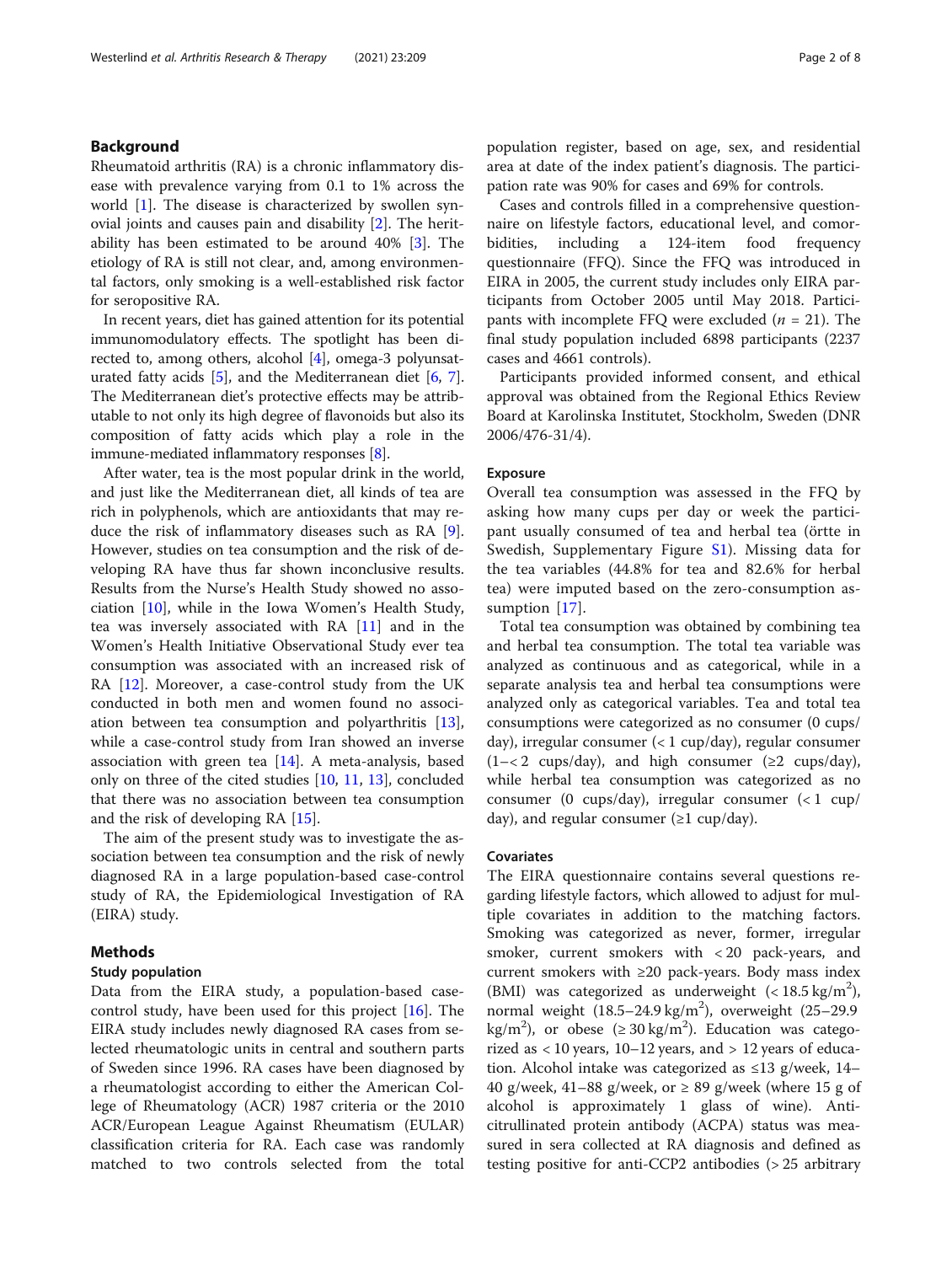# Background

Rheumatoid arthritis (RA) is a chronic inflammatory disease with prevalence varying from 0.1 to 1% across the world [[1](#page-6-0)]. The disease is characterized by swollen synovial joints and causes pain and disability [[2\]](#page-7-0). The heritability has been estimated to be around 40% [\[3](#page-7-0)]. The etiology of RA is still not clear, and, among environmental factors, only smoking is a well-established risk factor for seropositive RA.

In recent years, diet has gained attention for its potential immunomodulatory effects. The spotlight has been directed to, among others, alcohol [\[4](#page-7-0)], omega-3 polyunsaturated fatty acids  $[5]$ , and the Mediterranean diet  $[6, 7]$  $[6, 7]$  $[6, 7]$  $[6, 7]$  $[6, 7]$ . The Mediterranean diet's protective effects may be attributable to not only its high degree of flavonoids but also its composition of fatty acids which play a role in the immune-mediated inflammatory responses [\[8\]](#page-7-0).

After water, tea is the most popular drink in the world, and just like the Mediterranean diet, all kinds of tea are rich in polyphenols, which are antioxidants that may reduce the risk of inflammatory diseases such as RA [\[9](#page-7-0)]. However, studies on tea consumption and the risk of developing RA have thus far shown inconclusive results. Results from the Nurse's Health Study showed no association [[10\]](#page-7-0), while in the Iowa Women's Health Study, tea was inversely associated with  $RA$   $[11]$  $[11]$  and in the Women's Health Initiative Observational Study ever tea consumption was associated with an increased risk of RA [[12](#page-7-0)]. Moreover, a case-control study from the UK conducted in both men and women found no association between tea consumption and polyarthritis [\[13](#page-7-0)], while a case-control study from Iran showed an inverse association with green tea  $[14]$  $[14]$ . A meta-analysis, based only on three of the cited studies [[10,](#page-7-0) [11,](#page-7-0) [13](#page-7-0)], concluded that there was no association between tea consumption and the risk of developing RA [\[15](#page-7-0)].

The aim of the present study was to investigate the association between tea consumption and the risk of newly diagnosed RA in a large population-based case-control study of RA, the Epidemiological Investigation of RA (EIRA) study.

# Methods

## Study population

Data from the EIRA study, a population-based casecontrol study, have been used for this project [\[16](#page-7-0)]. The EIRA study includes newly diagnosed RA cases from selected rheumatologic units in central and southern parts of Sweden since 1996. RA cases have been diagnosed by a rheumatologist according to either the American College of Rheumatology (ACR) 1987 criteria or the 2010 ACR/European League Against Rheumatism (EULAR) classification criteria for RA. Each case was randomly matched to two controls selected from the total

population register, based on age, sex, and residential area at date of the index patient's diagnosis. The participation rate was 90% for cases and 69% for controls.

Cases and controls filled in a comprehensive questionnaire on lifestyle factors, educational level, and comorbidities, including a 124-item food frequency questionnaire (FFQ). Since the FFQ was introduced in EIRA in 2005, the current study includes only EIRA participants from October 2005 until May 2018. Participants with incomplete FFQ were excluded  $(n = 21)$ . The final study population included 6898 participants (2237 cases and 4661 controls).

Participants provided informed consent, and ethical approval was obtained from the Regional Ethics Review Board at Karolinska Institutet, Stockholm, Sweden (DNR 2006/476-31/4).

#### Exposure

Overall tea consumption was assessed in the FFQ by asking how many cups per day or week the participant usually consumed of tea and herbal tea (örtte in Swedish, Supplementary Figure [S1](#page-6-0)). Missing data for the tea variables (44.8% for tea and 82.6% for herbal tea) were imputed based on the zero-consumption as-sumption [\[17](#page-7-0)].

Total tea consumption was obtained by combining tea and herbal tea consumption. The total tea variable was analyzed as continuous and as categorical, while in a separate analysis tea and herbal tea consumptions were analyzed only as categorical variables. Tea and total tea consumptions were categorized as no consumer (0 cups/ day), irregular consumer (< 1 cup/day), regular consumer  $(1 - < 2 \text{ cups/day})$ , and high consumer  $(\geq 2 \text{ cups/day})$ , while herbal tea consumption was categorized as no consumer (0 cups/day), irregular consumer  $\left($  < 1 cup/ day), and regular consumer  $(\geq 1$  cup/day).

# Covariates

The EIRA questionnaire contains several questions regarding lifestyle factors, which allowed to adjust for multiple covariates in addition to the matching factors. Smoking was categorized as never, former, irregular smoker, current smokers with < 20 pack-years, and current smokers with  $\geq 20$  pack-years. Body mass index (BMI) was categorized as underweight  $(< 18.5 \text{ kg/m}^2)$ , normal weight  $(18.5-24.9 \text{ kg/m}^2)$ , overweight  $(25-29.9$ kg/m<sup>2</sup>), or obese ( $\geq$  30 kg/m<sup>2</sup>). Education was categorized as  $<$  10 years, 10–12 years, and  $>$  12 years of education. Alcohol intake was categorized as ≤13 g/week, 14– 40 g/week, 41–88 g/week, or  $\geq$  89 g/week (where 15 g of alcohol is approximately 1 glass of wine). Anticitrullinated protein antibody (ACPA) status was measured in sera collected at RA diagnosis and defined as testing positive for anti-CCP2 antibodies (> 25 arbitrary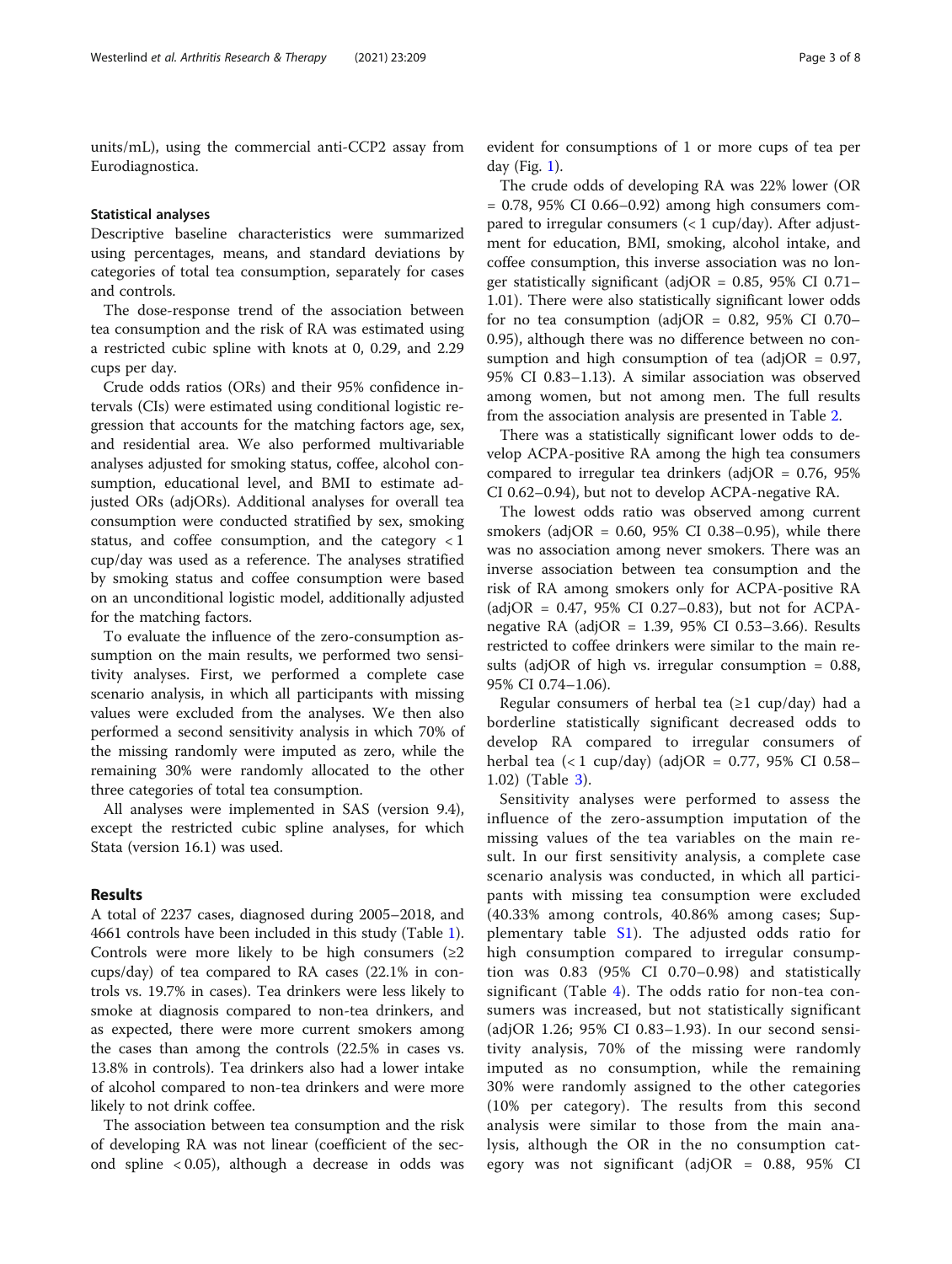units/mL), using the commercial anti-CCP2 assay from Eurodiagnostica.

# Statistical analyses

Descriptive baseline characteristics were summarized using percentages, means, and standard deviations by categories of total tea consumption, separately for cases and controls.

The dose-response trend of the association between tea consumption and the risk of RA was estimated using a restricted cubic spline with knots at 0, 0.29, and 2.29 cups per day.

Crude odds ratios (ORs) and their 95% confidence intervals (CIs) were estimated using conditional logistic regression that accounts for the matching factors age, sex, and residential area. We also performed multivariable analyses adjusted for smoking status, coffee, alcohol consumption, educational level, and BMI to estimate adjusted ORs (adjORs). Additional analyses for overall tea consumption were conducted stratified by sex, smoking status, and coffee consumption, and the category < 1 cup/day was used as a reference. The analyses stratified by smoking status and coffee consumption were based on an unconditional logistic model, additionally adjusted for the matching factors.

To evaluate the influence of the zero-consumption assumption on the main results, we performed two sensitivity analyses. First, we performed a complete case scenario analysis, in which all participants with missing values were excluded from the analyses. We then also performed a second sensitivity analysis in which 70% of the missing randomly were imputed as zero, while the remaining 30% were randomly allocated to the other three categories of total tea consumption.

All analyses were implemented in SAS (version 9.4), except the restricted cubic spline analyses, for which Stata (version 16.1) was used.

## Results

A total of 2237 cases, diagnosed during 2005–2018, and 4661 controls have been included in this study (Table [1](#page-3-0)). Controls were more likely to be high consumers  $(≥2)$ cups/day) of tea compared to RA cases (22.1% in controls vs. 19.7% in cases). Tea drinkers were less likely to smoke at diagnosis compared to non-tea drinkers, and as expected, there were more current smokers among the cases than among the controls (22.5% in cases vs. 13.8% in controls). Tea drinkers also had a lower intake of alcohol compared to non-tea drinkers and were more likely to not drink coffee.

The association between tea consumption and the risk of developing RA was not linear (coefficient of the second spline < 0.05), although a decrease in odds was

evident for consumptions of 1 or more cups of tea per day (Fig. [1](#page-3-0)).

The crude odds of developing RA was 22% lower (OR  $= 0.78$ , 95% CI 0.66–0.92) among high consumers compared to irregular consumers (< 1 cup/day). After adjustment for education, BMI, smoking, alcohol intake, and coffee consumption, this inverse association was no longer statistically significant (adjOR =  $0.85$ , 95% CI 0.71– 1.01). There were also statistically significant lower odds for no tea consumption (adjOR =  $0.82$ , 95% CI 0.70– 0.95), although there was no difference between no consumption and high consumption of tea (adjOR =  $0.97$ , 95% CI 0.83–1.13). A similar association was observed among women, but not among men. The full results from the association analysis are presented in Table [2.](#page-4-0)

There was a statistically significant lower odds to develop ACPA-positive RA among the high tea consumers compared to irregular tea drinkers (adjOR =  $0.76$ ,  $95\%$ CI 0.62–0.94), but not to develop ACPA-negative RA.

The lowest odds ratio was observed among current smokers (adjOR =  $0.60$ ,  $95\%$  CI 0.38–0.95), while there was no association among never smokers. There was an inverse association between tea consumption and the risk of RA among smokers only for ACPA-positive RA (adjOR = 0.47, 95% CI 0.27–0.83), but not for ACPAnegative RA (adjOR = 1.39, 95% CI 0.53–3.66). Results restricted to coffee drinkers were similar to the main results (adjOR of high vs. irregular consumption  $= 0.88$ , 95% CI 0.74–1.06).

Regular consumers of herbal tea  $(\geq 1 \text{ cup/day})$  had a borderline statistically significant decreased odds to develop RA compared to irregular consumers of herbal tea (< 1 cup/day) (adjOR = 0.77, 95% CI 0.58– 1.02) (Table [3\)](#page-5-0).

Sensitivity analyses were performed to assess the influence of the zero-assumption imputation of the missing values of the tea variables on the main result. In our first sensitivity analysis, a complete case scenario analysis was conducted, in which all participants with missing tea consumption were excluded (40.33% among controls, 40.86% among cases; Supplementary table [S1](#page-6-0)). The adjusted odds ratio for high consumption compared to irregular consumption was 0.83 (95% CI 0.70–0.98) and statistically significant (Table [4\)](#page-5-0). The odds ratio for non-tea consumers was increased, but not statistically significant (adjOR 1.26; 95% CI 0.83–1.93). In our second sensitivity analysis, 70% of the missing were randomly imputed as no consumption, while the remaining 30% were randomly assigned to the other categories (10% per category). The results from this second analysis were similar to those from the main analysis, although the OR in the no consumption category was not significant (adjOR = 0.88, 95% CI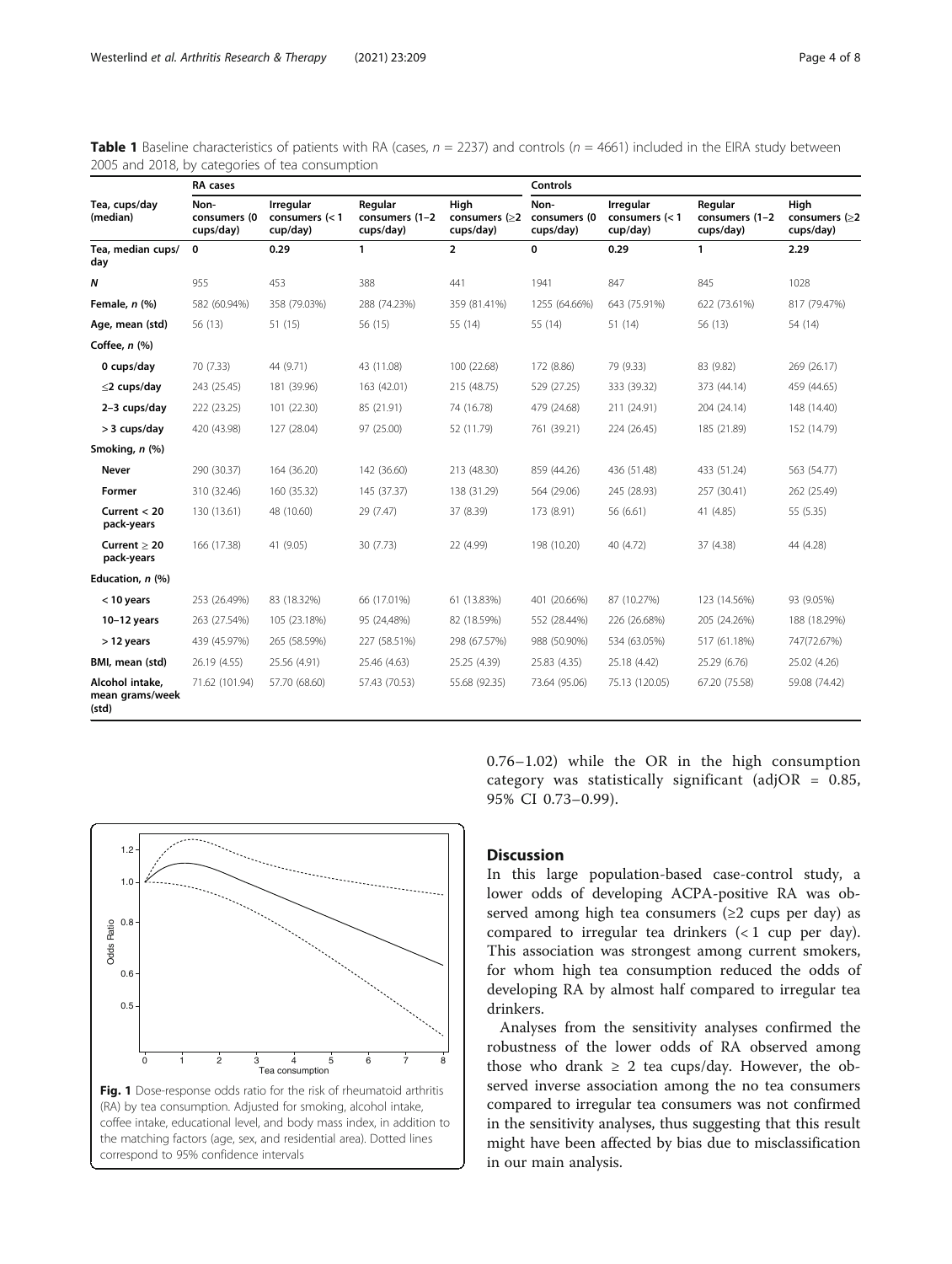|                                             | RA cases                          |                                           |                                        |                                          | <b>Controls</b>                   |                                           |                                        |                                          |
|---------------------------------------------|-----------------------------------|-------------------------------------------|----------------------------------------|------------------------------------------|-----------------------------------|-------------------------------------------|----------------------------------------|------------------------------------------|
| Tea, cups/day<br>(median)                   | Non-<br>consumers (0<br>cups/day) | Irregular<br>consumers $(< 1$<br>cup/day) | Regular<br>consumers (1-2<br>cups/day) | High<br>consumers $( \ge 2$<br>cups/day) | Non-<br>consumers (0<br>cups/day) | Irregular<br>consumers $(< 1$<br>cup/day) | Regular<br>consumers (1-2<br>cups/day) | High<br>consumers $( \ge 2$<br>cups/day) |
| Tea, median cups/<br>day                    | 0                                 | 0.29                                      | $\mathbf{1}$                           | $\overline{2}$                           | 0                                 | 0.29                                      | 1                                      | 2.29                                     |
| $\boldsymbol{N}$                            | 955                               | 453                                       | 388                                    | 441                                      | 1941                              | 847                                       | 845                                    | 1028                                     |
| Female, n (%)                               | 582 (60.94%)                      | 358 (79.03%)                              | 288 (74.23%)                           | 359 (81.41%)                             | 1255 (64.66%)                     | 643 (75.91%)                              | 622 (73.61%)                           | 817 (79.47%)                             |
| Age, mean (std)                             | 56 (13)                           | 51 (15)                                   | 56 (15)                                | 55 (14)                                  | 55 (14)                           | 51 (14)                                   | 56 (13)                                | 54 (14)                                  |
| Coffee, $n$ $%$                             |                                   |                                           |                                        |                                          |                                   |                                           |                                        |                                          |
| 0 cups/day                                  | 70 (7.33)                         | 44 (9.71)                                 | 43 (11.08)                             | 100 (22.68)                              | 172 (8.86)                        | 79 (9.33)                                 | 83 (9.82)                              | 269 (26.17)                              |
| $\leq$ 2 cups/day                           | 243 (25.45)                       | 181 (39.96)                               | 163 (42.01)                            | 215 (48.75)                              | 529 (27.25)                       | 333 (39.32)                               | 373 (44.14)                            | 459 (44.65)                              |
| 2-3 cups/day                                | 222 (23.25)                       | 101 (22.30)                               | 85 (21.91)                             | 74 (16.78)                               | 479 (24.68)                       | 211 (24.91)                               | 204 (24.14)                            | 148 (14.40)                              |
| > 3 cups/day                                | 420 (43.98)                       | 127 (28.04)                               | 97 (25.00)                             | 52 (11.79)                               | 761 (39.21)                       | 224 (26.45)                               | 185 (21.89)                            | 152 (14.79)                              |
| Smoking, n (%)                              |                                   |                                           |                                        |                                          |                                   |                                           |                                        |                                          |
| Never                                       | 290 (30.37)                       | 164 (36.20)                               | 142 (36.60)                            | 213 (48.30)                              | 859 (44.26)                       | 436 (51.48)                               | 433 (51.24)                            | 563 (54.77)                              |
| Former                                      | 310 (32.46)                       | 160 (35.32)                               | 145 (37.37)                            | 138 (31.29)                              | 564 (29.06)                       | 245 (28.93)                               | 257 (30.41)                            | 262 (25.49)                              |
| Current $<$ 20<br>pack-years                | 130 (13.61)                       | 48 (10.60)                                | 29 (7.47)                              | 37 (8.39)                                | 173 (8.91)                        | 56 (6.61)                                 | 41 (4.85)                              | 55 (5.35)                                |
| Current $> 20$<br>pack-years                | 166 (17.38)                       | 41 (9.05)                                 | 30 (7.73)                              | 22 (4.99)                                | 198 (10.20)                       | 40 (4.72)                                 | 37 (4.38)                              | 44 (4.28)                                |
| Education, n (%)                            |                                   |                                           |                                        |                                          |                                   |                                           |                                        |                                          |
| $<$ 10 years                                | 253 (26.49%)                      | 83 (18.32%)                               | 66 (17.01%)                            | 61 (13.83%)                              | 401 (20.66%)                      | 87 (10.27%)                               | 123 (14.56%)                           | 93 (9.05%)                               |
| $10-12$ years                               | 263 (27.54%)                      | 105 (23.18%)                              | 95 (24,48%)                            | 82 (18.59%)                              | 552 (28.44%)                      | 226 (26.68%)                              | 205 (24.26%)                           | 188 (18.29%)                             |
| $>$ 12 years                                | 439 (45.97%)                      | 265 (58.59%)                              | 227 (58.51%)                           | 298 (67.57%)                             | 988 (50.90%)                      | 534 (63.05%)                              | 517 (61.18%)                           | 747(72.67%)                              |
| BMI, mean (std)                             | 26.19 (4.55)                      | 25.56 (4.91)                              | 25.46 (4.63)                           | 25.25 (4.39)                             | 25.83 (4.35)                      | 25.18 (4.42)                              | 25.29 (6.76)                           | 25.02 (4.26)                             |
| Alcohol intake,<br>mean grams/week<br>(std) | 71.62 (101.94)                    | 57.70 (68.60)                             | 57.43 (70.53)                          | 55.68 (92.35)                            | 73.64 (95.06)                     | 75.13 (120.05)                            | 67.20 (75.58)                          | 59.08 (74.42)                            |

<span id="page-3-0"></span>**Table 1** Baseline characteristics of patients with RA (cases,  $n = 2237$ ) and controls ( $n = 4661$ ) included in the EIRA study between 2005 and 2018, by categories of tea consumption



0.76–1.02) while the OR in the high consumption category was statistically significant (adjOR =  $0.85$ , 95% CI 0.73–0.99).

# **Discussion**

In this large population-based case-control study, a lower odds of developing ACPA-positive RA was observed among high tea consumers (≥2 cups per day) as compared to irregular tea drinkers (< 1 cup per day). This association was strongest among current smokers, for whom high tea consumption reduced the odds of developing RA by almost half compared to irregular tea drinkers.

Analyses from the sensitivity analyses confirmed the robustness of the lower odds of RA observed among those who drank  $\geq 2$  tea cups/day. However, the observed inverse association among the no tea consumers compared to irregular tea consumers was not confirmed in the sensitivity analyses, thus suggesting that this result might have been affected by bias due to misclassification in our main analysis.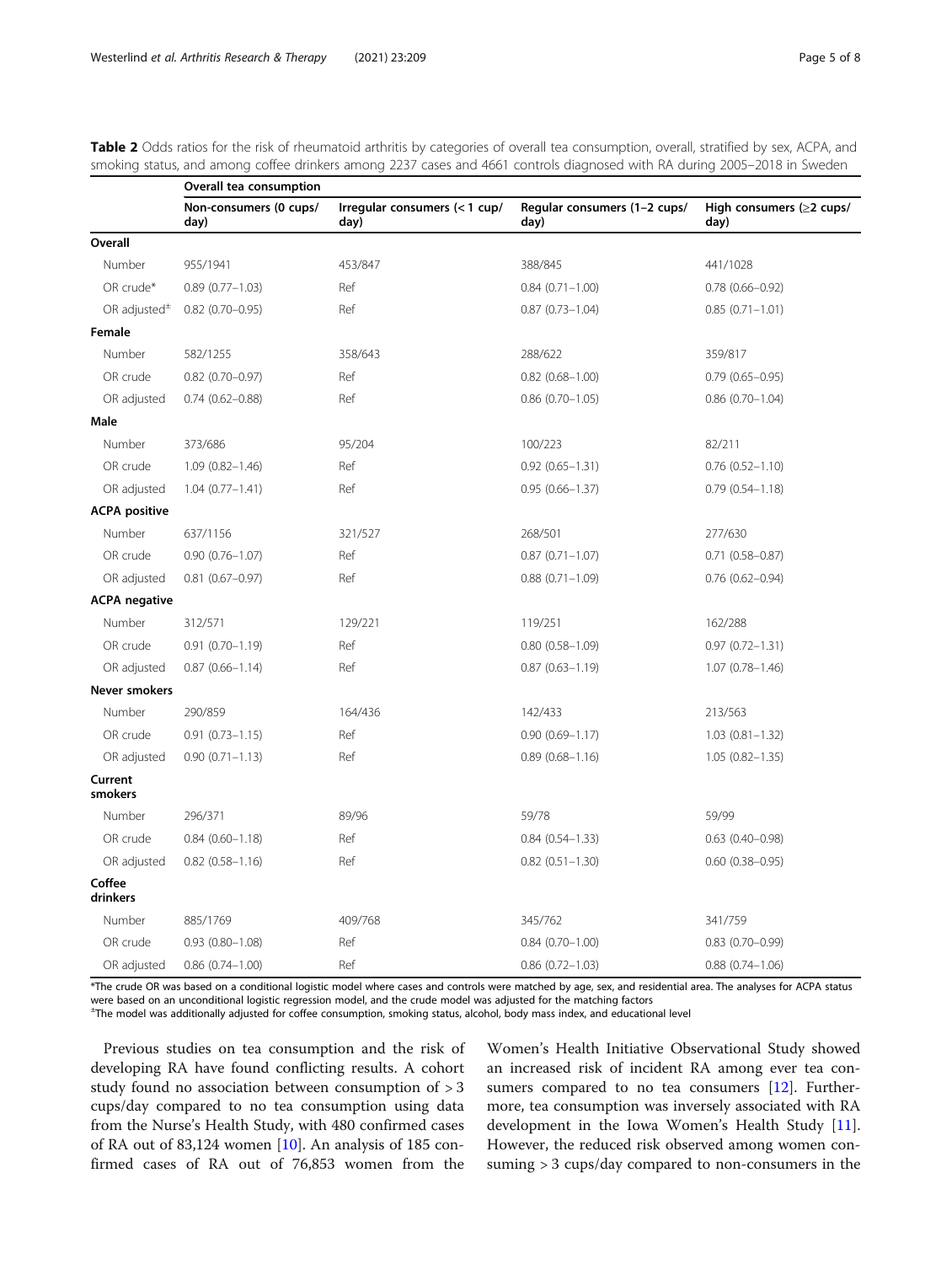|                      | Overall tea consumption        |                                       |                                      |                                        |  |  |  |
|----------------------|--------------------------------|---------------------------------------|--------------------------------------|----------------------------------------|--|--|--|
|                      | Non-consumers (0 cups/<br>day) | Irregular consumers (< 1 cup/<br>day) | Regular consumers (1-2 cups/<br>day) | High consumers $(\geq 2$ cups/<br>day) |  |  |  |
| Overall              |                                |                                       |                                      |                                        |  |  |  |
| Number               | 955/1941                       | 453/847                               | 388/845                              | 441/1028                               |  |  |  |
| OR crude*            | $0.89(0.77 - 1.03)$            | Ref                                   | $0.84(0.71 - 1.00)$                  | $0.78$ $(0.66 - 0.92)$                 |  |  |  |
| OR adjusted $\pm$    | $0.82$ (0.70-0.95)             | Ref                                   | $0.87(0.73 - 1.04)$                  | $0.85(0.71 - 1.01)$                    |  |  |  |
| Female               |                                |                                       |                                      |                                        |  |  |  |
| Number               | 582/1255                       | 358/643                               | 288/622                              | 359/817                                |  |  |  |
| OR crude             | $0.82$ (0.70-0.97)             | Ref                                   | $0.82$ $(0.68 - 1.00)$               | $0.79(0.65 - 0.95)$                    |  |  |  |
| OR adjusted          | $0.74(0.62 - 0.88)$            | Ref                                   | $0.86$ $(0.70 - 1.05)$               | $0.86$ $(0.70 - 1.04)$                 |  |  |  |
| Male                 |                                |                                       |                                      |                                        |  |  |  |
| Number               | 373/686                        | 95/204                                | 100/223                              | 82/211                                 |  |  |  |
| OR crude             | $1.09(0.82 - 1.46)$            | Ref                                   | $0.92$ $(0.65 - 1.31)$               | $0.76$ $(0.52 - 1.10)$                 |  |  |  |
| OR adjusted          | $1.04(0.77 - 1.41)$            | Ref                                   | $0.95(0.66 - 1.37)$                  | $0.79(0.54 - 1.18)$                    |  |  |  |
| <b>ACPA positive</b> |                                |                                       |                                      |                                        |  |  |  |
| Number               | 637/1156                       | 321/527                               | 268/501                              | 277/630                                |  |  |  |
| OR crude             | $0.90(0.76 - 1.07)$            | Ref                                   | $0.87(0.71 - 1.07)$                  | $0.71$ $(0.58 - 0.87)$                 |  |  |  |
| OR adjusted          | $0.81$ $(0.67 - 0.97)$         | Ref                                   | $0.88$ $(0.71 - 1.09)$               | $0.76$ (0.62-0.94)                     |  |  |  |
| <b>ACPA</b> negative |                                |                                       |                                      |                                        |  |  |  |
| Number               | 312/571                        | 129/221                               | 119/251                              | 162/288                                |  |  |  |
| OR crude             | $0.91(0.70 - 1.19)$            | Ref                                   | $0.80(0.58 - 1.09)$                  | $0.97(0.72 - 1.31)$                    |  |  |  |
| OR adjusted          | $0.87(0.66 - 1.14)$            | Ref                                   | $0.87(0.63 - 1.19)$                  | $1.07(0.78 - 1.46)$                    |  |  |  |
| Never smokers        |                                |                                       |                                      |                                        |  |  |  |
| Number               | 290/859                        | 164/436                               | 142/433                              | 213/563                                |  |  |  |
| OR crude             | $0.91(0.73 - 1.15)$            | Ref                                   | $0.90(0.69 - 1.17)$                  | $1.03(0.81 - 1.32)$                    |  |  |  |
| OR adjusted          | $0.90(0.71 - 1.13)$            | Ref                                   | $0.89(0.68 - 1.16)$                  | $1.05(0.82 - 1.35)$                    |  |  |  |
| Current<br>smokers   |                                |                                       |                                      |                                        |  |  |  |
| Number               | 296/371                        | 89/96                                 | 59/78                                | 59/99                                  |  |  |  |
| OR crude             | $0.84(0.60 - 1.18)$            | Ref                                   | $0.84(0.54 - 1.33)$                  | $0.63$ $(0.40 - 0.98)$                 |  |  |  |
| OR adjusted          | $0.82$ $(0.58 - 1.16)$         | Ref                                   | $0.82$ $(0.51 - 1.30)$               | $0.60$ $(0.38 - 0.95)$                 |  |  |  |
| Coffee<br>drinkers   |                                |                                       |                                      |                                        |  |  |  |
| Number               | 885/1769                       | 409/768                               | 345/762                              | 341/759                                |  |  |  |
| OR crude             | $0.93(0.80 - 1.08)$            | Ref                                   | $0.84(0.70 - 1.00)$                  | $0.83$ $(0.70 - 0.99)$                 |  |  |  |
| OR adjusted          | $0.86(0.74 - 1.00)$            | Ref                                   | $0.86$ $(0.72 - 1.03)$               | $0.88(0.74 - 1.06)$                    |  |  |  |

<span id="page-4-0"></span>Table 2 Odds ratios for the risk of rheumatoid arthritis by categories of overall tea consumption, overall, stratified by sex, ACPA, and smoking status, and among coffee drinkers among 2237 cases and 4661 controls diagnosed with RA during 2005–2018 in Sweden

\*The crude OR was based on a conditional logistic model where cases and controls were matched by age, sex, and residential area. The analyses for ACPA status were based on an unconditional logistic regression model, and the crude model was adjusted for the matching factors

± The model was additionally adjusted for coffee consumption, smoking status, alcohol, body mass index, and educational level

Previous studies on tea consumption and the risk of developing RA have found conflicting results. A cohort study found no association between consumption of > 3 cups/day compared to no tea consumption using data from the Nurse's Health Study, with 480 confirmed cases of RA out of 83,124 women  $[10]$  $[10]$ . An analysis of 185 confirmed cases of RA out of 76,853 women from the

Women's Health Initiative Observational Study showed an increased risk of incident RA among ever tea con-sumers compared to no tea consumers [[12\]](#page-7-0). Furthermore, tea consumption was inversely associated with RA development in the Iowa Women's Health Study [\[11](#page-7-0)]. However, the reduced risk observed among women consuming > 3 cups/day compared to non-consumers in the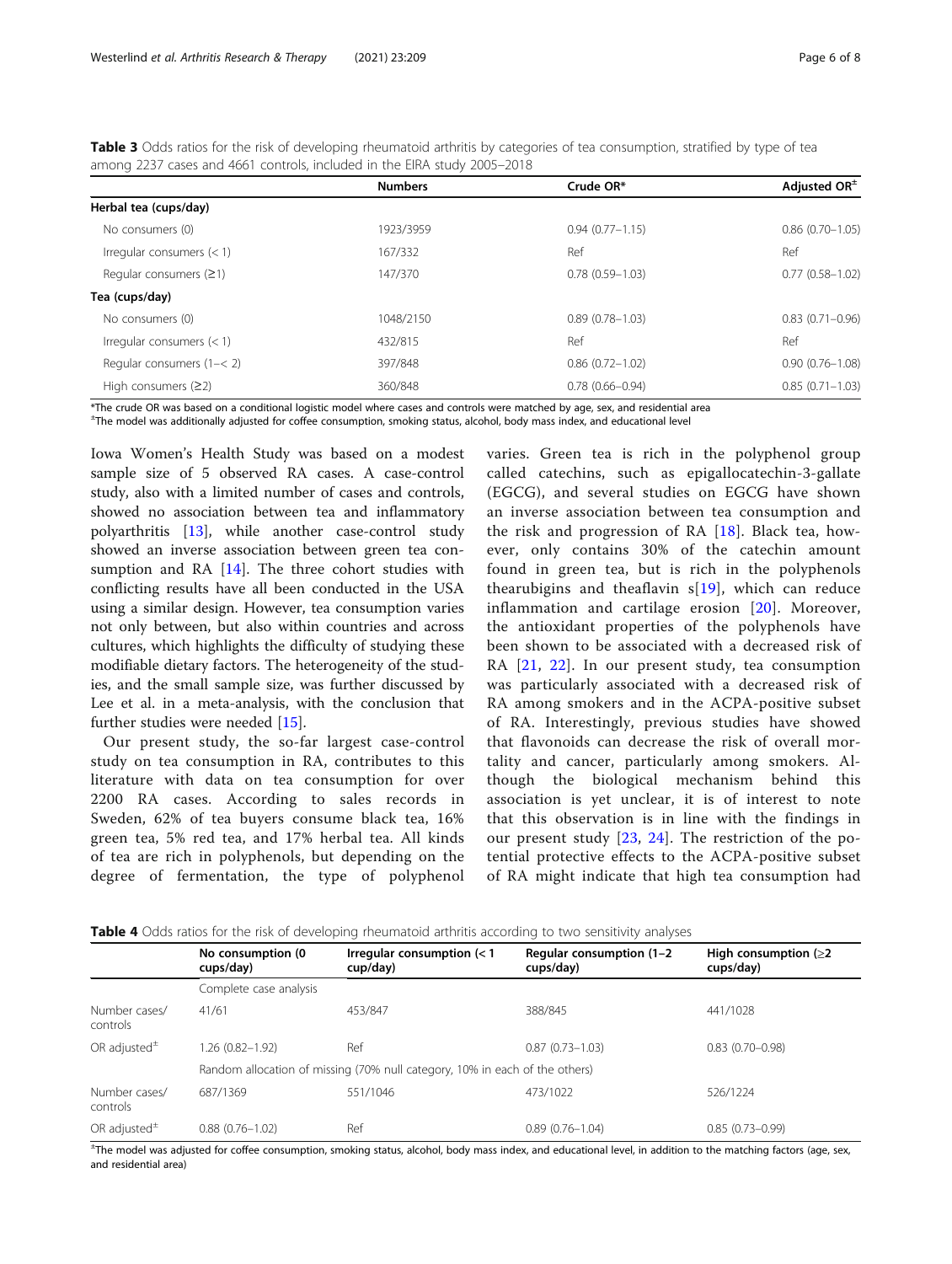<span id="page-5-0"></span>

|                       | <b>Table 3</b> Odds ratios for the risk of developing rheumatoid arthritis by categories of tea consumption, stratified by type of tea |           |                |
|-----------------------|----------------------------------------------------------------------------------------------------------------------------------------|-----------|----------------|
|                       | among 2237 cases and 4661 controls, included in the EIRA study 2005–2018                                                               |           |                |
|                       | <b>Numbers</b>                                                                                                                         | Crude OR* | Adjusted $OR+$ |
| Herbal tea (cups/day) |                                                                                                                                        |           |                |

| Herbal tea (cups/day)         |           |                     |                     |
|-------------------------------|-----------|---------------------|---------------------|
| No consumers (0)              | 1923/3959 | $0.94(0.77 - 1.15)$ | $0.86(0.70 - 1.05)$ |
| Irregular consumers $(< 1)$   | 167/332   | Ref                 | Ref                 |
| Regular consumers $(≥1)$      | 147/370   | $0.78(0.59 - 1.03)$ | $0.77(0.58 - 1.02)$ |
| Tea (cups/day)                |           |                     |                     |
| No consumers (0)              | 1048/2150 | $0.89(0.78 - 1.03)$ | $0.83(0.71 - 0.96)$ |
| Irregular consumers $(< 1)$   | 432/815   | Ref                 | Ref                 |
| Regular consumers $(1 - < 2)$ | 397/848   | $0.86(0.72 - 1.02)$ | $0.90(0.76 - 1.08)$ |
| High consumers $(22)$         | 360/848   | $0.78(0.66 - 0.94)$ | $0.85(0.71 - 1.03)$ |

\*The crude OR was based on a conditional logistic model where cases and controls were matched by age, sex, and residential area

± The model was additionally adjusted for coffee consumption, smoking status, alcohol, body mass index, and educational level

Iowa Women's Health Study was based on a modest sample size of 5 observed RA cases. A case-control study, also with a limited number of cases and controls, showed no association between tea and inflammatory polyarthritis [[13](#page-7-0)], while another case-control study showed an inverse association between green tea consumption and RA [\[14\]](#page-7-0). The three cohort studies with conflicting results have all been conducted in the USA using a similar design. However, tea consumption varies not only between, but also within countries and across cultures, which highlights the difficulty of studying these modifiable dietary factors. The heterogeneity of the studies, and the small sample size, was further discussed by Lee et al. in a meta-analysis, with the conclusion that further studies were needed [[15](#page-7-0)].

Our present study, the so-far largest case-control study on tea consumption in RA, contributes to this literature with data on tea consumption for over 2200 RA cases. According to sales records in Sweden, 62% of tea buyers consume black tea, 16% green tea, 5% red tea, and 17% herbal tea. All kinds of tea are rich in polyphenols, but depending on the degree of fermentation, the type of polyphenol varies. Green tea is rich in the polyphenol group called catechins, such as epigallocatechin-3-gallate (EGCG), and several studies on EGCG have shown an inverse association between tea consumption and the risk and progression of RA  $[18]$  $[18]$ . Black tea, however, only contains 30% of the catechin amount found in green tea, but is rich in the polyphenols thearubigins and theaflavin  $s[19]$  $s[19]$  $s[19]$ , which can reduce inflammation and cartilage erosion [[20](#page-7-0)]. Moreover, the antioxidant properties of the polyphenols have been shown to be associated with a decreased risk of RA [\[21,](#page-7-0) [22](#page-7-0)]. In our present study, tea consumption was particularly associated with a decreased risk of RA among smokers and in the ACPA-positive subset of RA. Interestingly, previous studies have showed that flavonoids can decrease the risk of overall mortality and cancer, particularly among smokers. Although the biological mechanism behind this association is yet unclear, it is of interest to note that this observation is in line with the findings in our present study [[23](#page-7-0), [24\]](#page-7-0). The restriction of the potential protective effects to the ACPA-positive subset of RA might indicate that high tea consumption had

|  |  | <b>Table 4</b> Odds ratios for the risk of developing rheumatoid arthritis according to two sensitivity analyses |  |  |  |
|--|--|------------------------------------------------------------------------------------------------------------------|--|--|--|
|  |  |                                                                                                                  |  |  |  |

|                           | No consumption (0<br>cups/day)                                              | Irregular consumption $(< 1$<br>cup/day) | Regular consumption (1-2)<br>cups/day) | High consumption $(22)$<br>cups/day) |  |  |
|---------------------------|-----------------------------------------------------------------------------|------------------------------------------|----------------------------------------|--------------------------------------|--|--|
|                           | Complete case analysis                                                      |                                          |                                        |                                      |  |  |
| Number cases/<br>controls | 41/61                                                                       | 453/847                                  | 388/845                                | 441/1028                             |  |  |
| OR adjusted $\pm$         | 1.26 (0.82-1.92)                                                            | Ref                                      | $0.87(0.73 - 1.03)$                    | $0.83(0.70 - 0.98)$                  |  |  |
|                           | Random allocation of missing (70% null category, 10% in each of the others) |                                          |                                        |                                      |  |  |
| Number cases/<br>controls | 687/1369                                                                    | 551/1046                                 | 473/1022                               | 526/1224                             |  |  |
| OR adjusted $±$           | $0.88(0.76 - 1.02)$                                                         | Ref                                      | $0.89(0.76 - 1.04)$                    | $0.85(0.73 - 0.99)$                  |  |  |

± The model was adjusted for coffee consumption, smoking status, alcohol, body mass index, and educational level, in addition to the matching factors (age, sex, and residential area)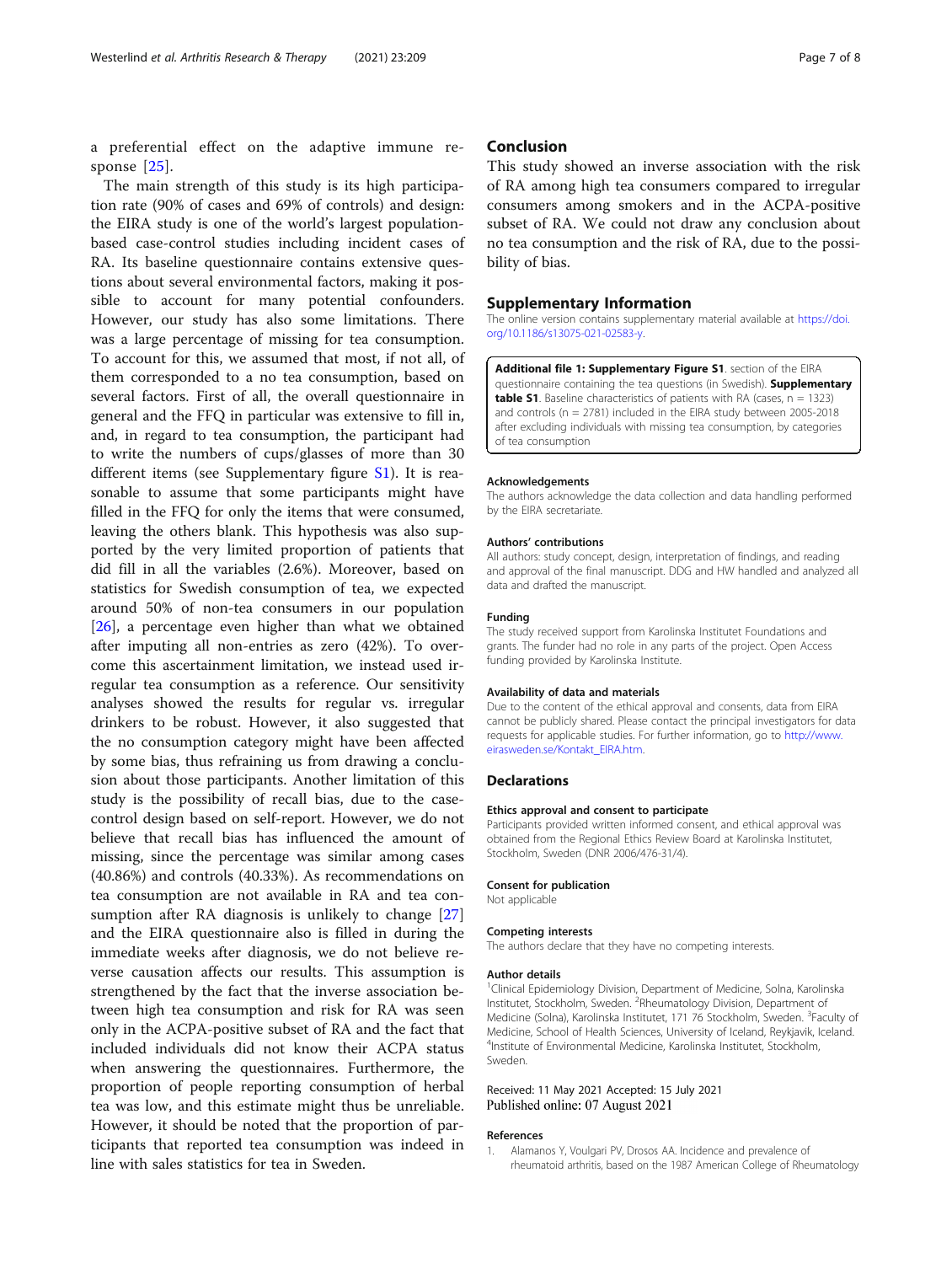<span id="page-6-0"></span>a preferential effect on the adaptive immune re-sponse [[25](#page-7-0)].

The main strength of this study is its high participation rate (90% of cases and 69% of controls) and design: the EIRA study is one of the world's largest populationbased case-control studies including incident cases of RA. Its baseline questionnaire contains extensive questions about several environmental factors, making it possible to account for many potential confounders. However, our study has also some limitations. There was a large percentage of missing for tea consumption. To account for this, we assumed that most, if not all, of them corresponded to a no tea consumption, based on several factors. First of all, the overall questionnaire in general and the FFQ in particular was extensive to fill in, and, in regard to tea consumption, the participant had to write the numbers of cups/glasses of more than 30 different items (see Supplementary figure S1). It is reasonable to assume that some participants might have filled in the FFQ for only the items that were consumed, leaving the others blank. This hypothesis was also supported by the very limited proportion of patients that did fill in all the variables (2.6%). Moreover, based on statistics for Swedish consumption of tea, we expected around 50% of non-tea consumers in our population [[26\]](#page-7-0), a percentage even higher than what we obtained after imputing all non-entries as zero (42%). To overcome this ascertainment limitation, we instead used irregular tea consumption as a reference. Our sensitivity analyses showed the results for regular vs. irregular drinkers to be robust. However, it also suggested that the no consumption category might have been affected by some bias, thus refraining us from drawing a conclusion about those participants. Another limitation of this study is the possibility of recall bias, due to the casecontrol design based on self-report. However, we do not believe that recall bias has influenced the amount of missing, since the percentage was similar among cases (40.86%) and controls (40.33%). As recommendations on tea consumption are not available in RA and tea con-sumption after RA diagnosis is unlikely to change [[27](#page-7-0)] and the EIRA questionnaire also is filled in during the immediate weeks after diagnosis, we do not believe reverse causation affects our results. This assumption is strengthened by the fact that the inverse association between high tea consumption and risk for RA was seen only in the ACPA-positive subset of RA and the fact that included individuals did not know their ACPA status when answering the questionnaires. Furthermore, the proportion of people reporting consumption of herbal tea was low, and this estimate might thus be unreliable. However, it should be noted that the proportion of participants that reported tea consumption was indeed in line with sales statistics for tea in Sweden.

# Conclusion

This study showed an inverse association with the risk of RA among high tea consumers compared to irregular consumers among smokers and in the ACPA-positive subset of RA. We could not draw any conclusion about no tea consumption and the risk of RA, due to the possibility of bias.

# Supplementary Information

The online version contains supplementary material available at [https://doi.](https://doi.org/10.1186/s13075-021-02583-y) [org/10.1186/s13075-021-02583-y](https://doi.org/10.1186/s13075-021-02583-y).

Additional file 1: Supplementary Figure S1. section of the EIRA questionnaire containing the tea questions (in Swedish). Supplementary **table S1**. Baseline characteristics of patients with RA (cases,  $n = 1323$ ) and controls (n = 2781) included in the EIRA study between 2005-2018 after excluding individuals with missing tea consumption, by categories of tea consumption

#### Acknowledgements

The authors acknowledge the data collection and data handling performed by the EIRA secretariate.

#### Authors' contributions

All authors: study concept, design, interpretation of findings, and reading and approval of the final manuscript. DDG and HW handled and analyzed all data and drafted the manuscript.

## Funding

The study received support from Karolinska Institutet Foundations and grants. The funder had no role in any parts of the project. Open Access funding provided by Karolinska Institute.

#### Availability of data and materials

Due to the content of the ethical approval and consents, data from EIRA cannot be publicly shared. Please contact the principal investigators for data requests for applicable studies. For further information, go to [http://www.](http://www.eirasweden.se/Kontakt_EIRA.htm) [eirasweden.se/Kontakt\\_EIRA.htm](http://www.eirasweden.se/Kontakt_EIRA.htm).

#### Declarations

# Ethics approval and consent to participate

Participants provided written informed consent, and ethical approval was obtained from the Regional Ethics Review Board at Karolinska Institutet, Stockholm, Sweden (DNR 2006/476-31/4).

#### Consent for publication

Not applicable

#### Competing interests

The authors declare that they have no competing interests.

#### Author details

<sup>1</sup> Clinical Epidemiology Division, Department of Medicine, Solna, Karolinska Institutet, Stockholm, Sweden. <sup>2</sup>Rheumatology Division, Department of Medicine (Solna), Karolinska Institutet, 171 76 Stockholm, Sweden. <sup>3</sup>Faculty of Medicine, School of Health Sciences, University of Iceland, Reykjavik, Iceland. 4 Institute of Environmental Medicine, Karolinska Institutet, Stockholm, Sweden.

Received: 11 May 2021 Accepted: 15 July 2021 Published online: 07 August 2021

#### References

1. Alamanos Y, Voulgari PV, Drosos AA. Incidence and prevalence of rheumatoid arthritis, based on the 1987 American College of Rheumatology